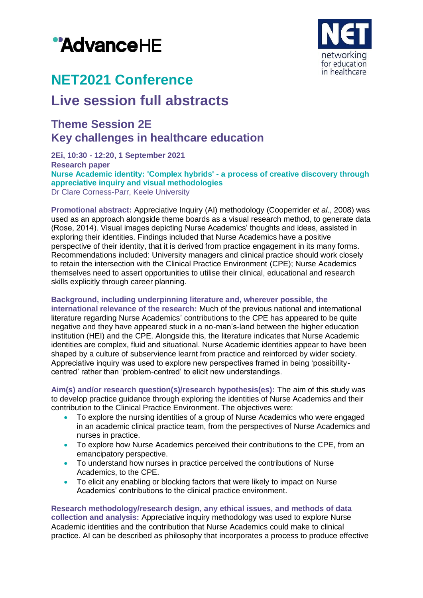# "AdvanceHE



## **NET2021 Conference**

### **Live session full abstracts**

### **Theme Session 2E Key challenges in healthcare education**

**2Ei, 10:30 - 12:20, 1 September 2021 Research paper Nurse Academic identity: 'Complex hybrids' - a process of creative discovery through appreciative inquiry and visual methodologies** Dr Clare Corness-Parr, Keele University

**Promotional abstract:** Appreciative Inquiry (AI) methodology (Cooperrider *et al*., 2008) was used as an approach alongside theme boards as a visual research method, to generate data (Rose, 2014). Visual images depicting Nurse Academics' thoughts and ideas, assisted in exploring their identities. Findings included that Nurse Academics have a positive perspective of their identity, that it is derived from practice engagement in its many forms. Recommendations included: University managers and clinical practice should work closely to retain the intersection with the Clinical Practice Environment (CPE); Nurse Academics themselves need to assert opportunities to utilise their clinical, educational and research skills explicitly through career planning.

#### **Background, including underpinning literature and, wherever possible, the**

**international relevance of the research:** Much of the previous national and international literature regarding Nurse Academics' contributions to the CPE has appeared to be quite negative and they have appeared stuck in a no-man's-land between the higher education institution (HEI) and the CPE. Alongside this, the literature indicates that Nurse Academic identities are complex, fluid and situational. Nurse Academic identities appear to have been shaped by a culture of subservience learnt from practice and reinforced by wider society. Appreciative inquiry was used to explore new perspectives framed in being 'possibilitycentred' rather than 'problem-centred' to elicit new understandings.

**Aim(s) and/or research question(s)/research hypothesis(es):** The aim of this study was to develop practice guidance through exploring the identities of Nurse Academics and their contribution to the Clinical Practice Environment. The objectives were:

- To explore the nursing identities of a group of Nurse Academics who were engaged in an academic clinical practice team, from the perspectives of Nurse Academics and nurses in practice.
- To explore how Nurse Academics perceived their contributions to the CPE, from an emancipatory perspective.
- To understand how nurses in practice perceived the contributions of Nurse Academics, to the CPE.
- To elicit any enabling or blocking factors that were likely to impact on Nurse Academics' contributions to the clinical practice environment.

**Research methodology/research design, any ethical issues, and methods of data collection and analysis:** Appreciative inquiry methodology was used to explore Nurse Academic identities and the contribution that Nurse Academics could make to clinical practice. AI can be described as philosophy that incorporates a process to produce effective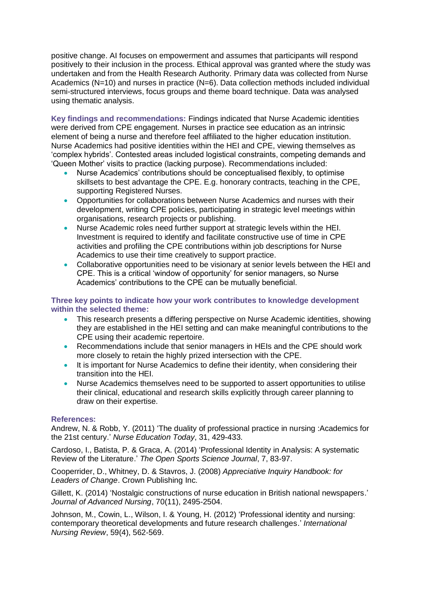positive change. AI focuses on empowerment and assumes that participants will respond positively to their inclusion in the process. Ethical approval was granted where the study was undertaken and from the Health Research Authority. Primary data was collected from Nurse Academics (N=10) and nurses in practice (N=6). Data collection methods included individual semi-structured interviews, focus groups and theme board technique. Data was analysed using thematic analysis.

**Key findings and recommendations:** Findings indicated that Nurse Academic identities were derived from CPE engagement. Nurses in practice see education as an intrinsic element of being a nurse and therefore feel affiliated to the higher education institution. Nurse Academics had positive identities within the HEI and CPE, viewing themselves as 'complex hybrids'. Contested areas included logistical constraints, competing demands and 'Queen Mother' visits to practice (lacking purpose). Recommendations included:

- Nurse Academics' contributions should be conceptualised flexibly, to optimise skillsets to best advantage the CPE. E.g. honorary contracts, teaching in the CPE, supporting Registered Nurses.
- Opportunities for collaborations between Nurse Academics and nurses with their development, writing CPE policies, participating in strategic level meetings within organisations, research projects or publishing.
- Nurse Academic roles need further support at strategic levels within the HEI. Investment is required to identify and facilitate constructive use of time in CPE activities and profiling the CPE contributions within job descriptions for Nurse Academics to use their time creatively to support practice.
- Collaborative opportunities need to be visionary at senior levels between the HEI and CPE. This is a critical 'window of opportunity' for senior managers, so Nurse Academics' contributions to the CPE can be mutually beneficial.

#### **Three key points to indicate how your work contributes to knowledge development within the selected theme:**

- This research presents a differing perspective on Nurse Academic identities, showing they are established in the HEI setting and can make meaningful contributions to the CPE using their academic repertoire.
- Recommendations include that senior managers in HEIs and the CPE should work more closely to retain the highly prized intersection with the CPE.
- It is important for Nurse Academics to define their identity, when considering their transition into the HEI.
- Nurse Academics themselves need to be supported to assert opportunities to utilise their clinical, educational and research skills explicitly through career planning to draw on their expertise.

#### **References:**

Andrew, N. & Robb, Y. (2011) 'The duality of professional practice in nursing :Academics for the 21st century.' *Nurse Education Today*, 31, 429-433.

Cardoso, I., Batista, P. & Graca, A. (2014) 'Professional Identity in Analysis: A systematic Review of the Literature.' *The Open Sports Science Journal*, 7, 83-97.

Cooperrider, D., Whitney, D. & Stavros, J. (2008) *Appreciative Inquiry Handbook: for Leaders of Change*. Crown Publishing Inc.

Gillett, K. (2014) 'Nostalgic constructions of nurse education in British national newspapers.' *Journal of Advanced Nursing*, 70(11), 2495-2504.

Johnson, M., Cowin, L., Wilson, I. & Young, H. (2012) 'Professional identity and nursing: contemporary theoretical developments and future research challenges.' *International Nursing Review*, 59(4), 562-569.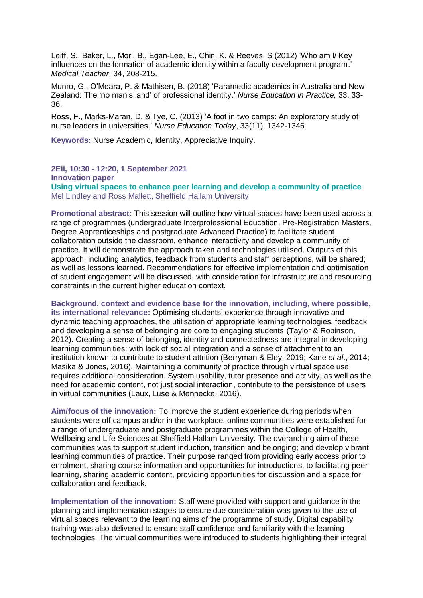Leiff, S., Baker, L., Mori, B., Egan-Lee, E., Chin, K. & Reeves, S (2012) 'Who am I/ Key influences on the formation of academic identity within a faculty development program.' *Medical Teacher*, 34, 208-215.

Munro, G., O'Meara, P. & Mathisen, B. (2018) 'Paramedic academics in Australia and New Zealand: The 'no man's land' of professional identity.' *Nurse Education in Practice,* 33, 33- 36.

Ross, F., Marks-Maran, D. & Tye, C. (2013) 'A foot in two camps: An exploratory study of nurse leaders in universities.' *Nurse Education Today*, 33(11), 1342-1346.

**Keywords:** Nurse Academic, Identity, Appreciative Inquiry.

**2Eii, 10:30 - 12:20, 1 September 2021 Innovation paper Using virtual spaces to enhance peer learning and develop a community of practice** Mel Lindley and Ross Mallett, Sheffield Hallam University

**Promotional abstract:** This session will outline how virtual spaces have been used across a range of programmes (undergraduate Interprofessional Education, Pre-Registration Masters, Degree Apprenticeships and postgraduate Advanced Practice) to facilitate student collaboration outside the classroom, enhance interactivity and develop a community of practice. It will demonstrate the approach taken and technologies utilised. Outputs of this approach, including analytics, feedback from students and staff perceptions, will be shared; as well as lessons learned. Recommendations for effective implementation and optimisation of student engagement will be discussed, with consideration for infrastructure and resourcing constraints in the current higher education context.

**Background, context and evidence base for the innovation, including, where possible, its international relevance:** Optimising students' experience through innovative and dynamic teaching approaches, the utilisation of appropriate learning technologies, feedback and developing a sense of belonging are core to engaging students (Taylor & Robinson, 2012). Creating a sense of belonging, identity and connectedness are integral in developing learning communities; with lack of social integration and a sense of attachment to an institution known to contribute to student attrition (Berryman & Eley, 2019; Kane *et al*., 2014; Masika & Jones, 2016). Maintaining a community of practice through virtual space use requires additional consideration. System usability, tutor presence and activity, as well as the need for academic content, not just social interaction, contribute to the persistence of users in virtual communities (Laux, Luse & Mennecke, 2016).

**Aim/focus of the innovation:** To improve the student experience during periods when students were off campus and/or in the workplace, online communities were established for a range of undergraduate and postgraduate programmes within the College of Health, Wellbeing and Life Sciences at Sheffield Hallam University. The overarching aim of these communities was to support student induction, transition and belonging; and develop vibrant learning communities of practice. Their purpose ranged from providing early access prior to enrolment, sharing course information and opportunities for introductions, to facilitating peer learning, sharing academic content, providing opportunities for discussion and a space for collaboration and feedback.

**Implementation of the innovation:** Staff were provided with support and guidance in the planning and implementation stages to ensure due consideration was given to the use of virtual spaces relevant to the learning aims of the programme of study. Digital capability training was also delivered to ensure staff confidence and familiarity with the learning technologies. The virtual communities were introduced to students highlighting their integral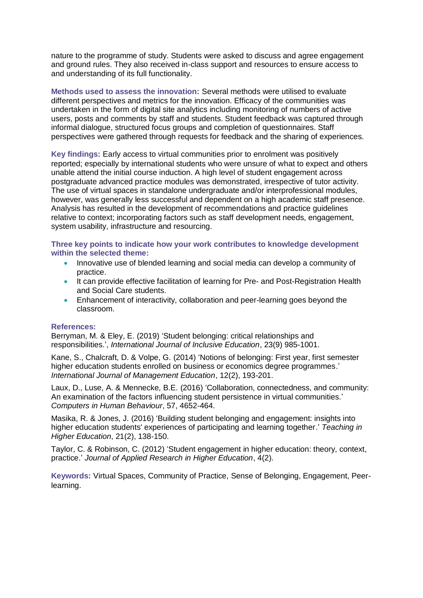nature to the programme of study. Students were asked to discuss and agree engagement and ground rules. They also received in-class support and resources to ensure access to and understanding of its full functionality.

**Methods used to assess the innovation:** Several methods were utilised to evaluate different perspectives and metrics for the innovation. Efficacy of the communities was undertaken in the form of digital site analytics including monitoring of numbers of active users, posts and comments by staff and students. Student feedback was captured through informal dialogue, structured focus groups and completion of questionnaires. Staff perspectives were gathered through requests for feedback and the sharing of experiences.

**Key findings:** Early access to virtual communities prior to enrolment was positively reported; especially by international students who were unsure of what to expect and others unable attend the initial course induction. A high level of student engagement across postgraduate advanced practice modules was demonstrated, irrespective of tutor activity. The use of virtual spaces in standalone undergraduate and/or interprofessional modules, however, was generally less successful and dependent on a high academic staff presence. Analysis has resulted in the development of recommendations and practice guidelines relative to context; incorporating factors such as staff development needs, engagement, system usability, infrastructure and resourcing.

**Three key points to indicate how your work contributes to knowledge development within the selected theme:**

- Innovative use of blended learning and social media can develop a community of practice.
- It can provide effective facilitation of learning for Pre- and Post-Registration Health and Social Care students.
- Enhancement of interactivity, collaboration and peer-learning goes beyond the classroom.

#### **References:**

Berryman, M. & Eley, E. (2019) 'Student belonging: critical relationships and responsibilities.', *International Journal of Inclusive Education*, 23(9) 985-1001.

Kane, S., Chalcraft, D. & Volpe, G. (2014) 'Notions of belonging: First year, first semester higher education students enrolled on business or economics degree programmes.' *International Journal of Management Education*, 12(2), 193-201.

Laux, D., Luse, A. & Mennecke, B.E. (2016) 'Collaboration, connectedness, and community: An examination of the factors influencing student persistence in virtual communities.' *Computers in Human Behaviour*, 57, 4652-464.

Masika, R. & Jones, J. (2016) 'Building student belonging and engagement: insights into higher education students' experiences of participating and learning together.' *Teaching in Higher Education*, 21(2), 138-150.

Taylor, C. & Robinson, C. (2012) 'Student engagement in higher education: theory, context, practice.' *Journal of Applied Research in Higher Education*, 4(2).

**Keywords:** Virtual Spaces, Community of Practice, Sense of Belonging, Engagement, Peerlearning.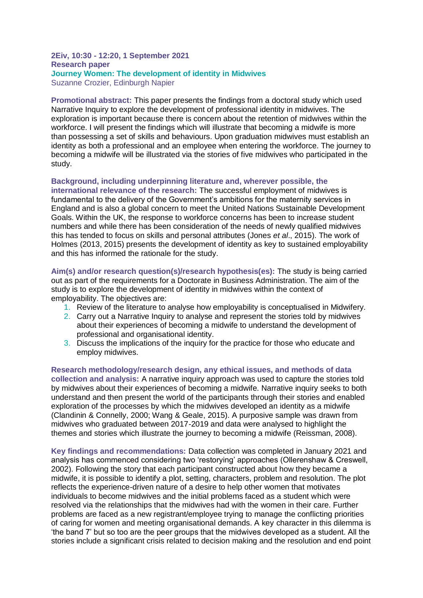#### **2Eiv, 10:30 - 12:20, 1 September 2021 Research paper Journey Women: The development of identity in Midwives** Suzanne Crozier, Edinburgh Napier

**Promotional abstract:** This paper presents the findings from a doctoral study which used Narrative Inquiry to explore the development of professional identity in midwives. The exploration is important because there is concern about the retention of midwives within the workforce. I will present the findings which will illustrate that becoming a midwife is more than possessing a set of skills and behaviours. Upon graduation midwives must establish an identity as both a professional and an employee when entering the workforce. The journey to becoming a midwife will be illustrated via the stories of five midwives who participated in the study.

#### **Background, including underpinning literature and, wherever possible, the**

**international relevance of the research:** The successful employment of midwives is fundamental to the delivery of the Government's ambitions for the maternity services in England and is also a global concern to meet the United Nations Sustainable Development Goals. Within the UK, the response to workforce concerns has been to increase student numbers and while there has been consideration of the needs of newly qualified midwives this has tended to focus on skills and personal attributes (Jones *et al*., 2015). The work of Holmes (2013, 2015) presents the development of identity as key to sustained employability and this has informed the rationale for the study.

**Aim(s) and/or research question(s)/research hypothesis(es):** The study is being carried out as part of the requirements for a Doctorate in Business Administration. The aim of the study is to explore the development of identity in midwives within the context of employability. The objectives are:

- 1. Review of the literature to analyse how employability is conceptualised in Midwifery.
- 2. Carry out a Narrative Inquiry to analyse and represent the stories told by midwives about their experiences of becoming a midwife to understand the development of professional and organisational identity.
- 3. Discuss the implications of the inquiry for the practice for those who educate and employ midwives.

**Research methodology/research design, any ethical issues, and methods of data collection and analysis:** A narrative inquiry approach was used to capture the stories told by midwives about their experiences of becoming a midwife. Narrative inquiry seeks to both understand and then present the world of the participants through their stories and enabled exploration of the processes by which the midwives developed an identity as a midwife (Clandinin & Connelly, 2000; Wang & Geale, 2015). A purposive sample was drawn from midwives who graduated between 2017-2019 and data were analysed to highlight the themes and stories which illustrate the journey to becoming a midwife (Reissman, 2008).

**Key findings and recommendations:** Data collection was completed in January 2021 and analysis has commenced considering two 'restorying' approaches (Ollerenshaw & Creswell, 2002). Following the story that each participant constructed about how they became a midwife, it is possible to identify a plot, setting, characters, problem and resolution. The plot reflects the experience-driven nature of a desire to help other women that motivates individuals to become midwives and the initial problems faced as a student which were resolved via the relationships that the midwives had with the women in their care. Further problems are faced as a new registrant/employee trying to manage the conflicting priorities of caring for women and meeting organisational demands. A key character in this dilemma is 'the band 7' but so too are the peer groups that the midwives developed as a student. All the stories include a significant crisis related to decision making and the resolution and end point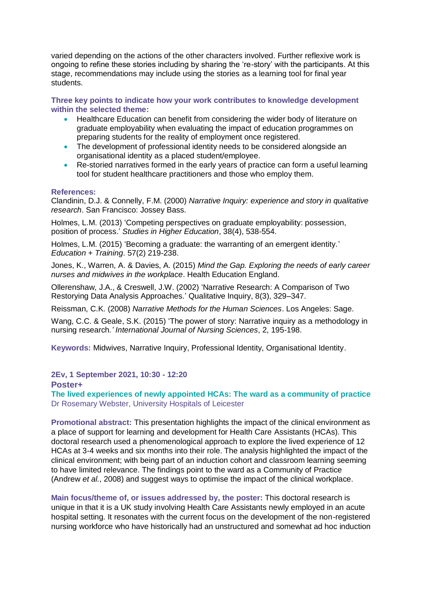varied depending on the actions of the other characters involved. Further reflexive work is ongoing to refine these stories including by sharing the 're-story' with the participants. At this stage, recommendations may include using the stories as a learning tool for final year students.

**Three key points to indicate how your work contributes to knowledge development within the selected theme:**

- Healthcare Education can benefit from considering the wider body of literature on graduate employability when evaluating the impact of education programmes on preparing students for the reality of employment once registered.
- The development of professional identity needs to be considered alongside an organisational identity as a placed student/employee.
- Re-storied narratives formed in the early years of practice can form a useful learning tool for student healthcare practitioners and those who employ them.

#### **References:**

Clandinin, D.J. & Connelly, F.M. (2000) *Narrative Inquiry: experience and story in qualitative research*. San Francisco: Jossey Bass.

Holmes, L.M. (2013) 'Competing perspectives on graduate employability: possession, position of process.' *Studies in Higher Education*, 38(4), 538-554.

Holmes, L.M. (2015) 'Becoming a graduate: the warranting of an emergent identity.' *Education + Training*. 57(2) 219-238.

Jones, K., Warren, A. & Davies, A. (2015) *Mind the Gap. Exploring the needs of early career nurses and midwives in the workplace*. Health Education England.

Ollerenshaw, J.A., & Creswell, J.W. (2002) 'Narrative Research: A Comparison of Two Restorying Data Analysis Approaches.' Qualitative Inquiry, 8(3), 329–347.

Reissman, C.K. (2008) *Narrative Methods for the Human Sciences*. Los Angeles: Sage.

Wang, C.C. & Geale, S.K. (2015) 'The power of story: Narrative inquiry as a methodology in nursing research*.' International Journal of Nursing Sciences*, 2, 195-198.

**Keywords:** Midwives, Narrative Inquiry, Professional Identity, Organisational Identity.

**2Ev, 1 September 2021, 10:30 - 12:20**

**Poster+**

**The lived experiences of newly appointed HCAs: The ward as a community of practice** Dr Rosemary Webster, University Hospitals of Leicester

**Promotional abstract:** This presentation highlights the impact of the clinical environment as a place of support for learning and development for Health Care Assistants (HCAs). This doctoral research used a phenomenological approach to explore the lived experience of 12 HCAs at 3-4 weeks and six months into their role. The analysis highlighted the impact of the clinical environment; with being part of an induction cohort and classroom learning seeming to have limited relevance. The findings point to the ward as a Community of Practice (Andrew *et al.*, 2008) and suggest ways to optimise the impact of the clinical workplace.

**Main focus/theme of, or issues addressed by, the poster:** This doctoral research is unique in that it is a UK study involving Health Care Assistants newly employed in an acute hospital setting. It resonates with the current focus on the development of the non-registered nursing workforce who have historically had an unstructured and somewhat ad hoc induction